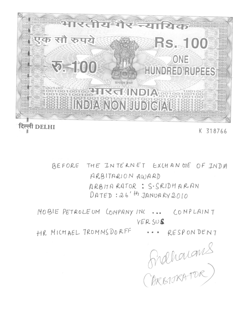

BEFORE THE INTERNET EXCHANGE OF INDA ARBITARION AWARD ARBITARATOR: S. SRIDHARAN  $DATED:26'$ <sup>th</sup> JANUARY 2010

MOBIE PETROLEUM CONPANYING ... COMPLAINT VERSUS

HR MICHAEL TROMMS DORFF ... RESPONDENT

Hidholans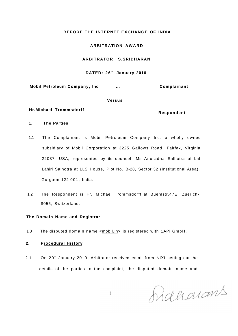# **BEFORE THE INTERNET EXCHANGE OF INDIA**

# **ARBITRATION AWAR D**

# **ARBITRATOR: S.SRIDHARAN**

#### **DATED: 26<sup>t</sup> <sup>h</sup> January 2010**

**Mobil Petroleum Company, Inc ... Complainant** 

#### **Versus**

### **Hr.Michael Trommsdorff**

### **Respondent**

# **1. The Parties**

- 1.1 The Complainant is Mobil Petroleum Company Inc, a wholly owned subsidiary of Mobil Corporation at 3225 Gallows Road, Fairfax, Virginia 22037 USA, represented by its counsel, Ms Anuradha Salhotra of Lal Lahiri Salhotra at LLS House, Plot No. B-28, Sector 32 (Institutional Area), Gurgaon-122 001, India.
- 1.2 The Respondent is Hr. Michael Trommsdorff at Buehlstr.47E, Zuerich-8055, Switzerland.

# **The Domain Name and Registrar**

1.3 The disputed domain name <mobil.in> is registered with 1APi GmbH.

# **2. Procedural History**

2.1 On 20<sup>th</sup> January 2010, Arbitrator received email from NIXI setting out the details of the parties to the complaint, the disputed domain name and

 $\mathbf{1}$ 

Raharans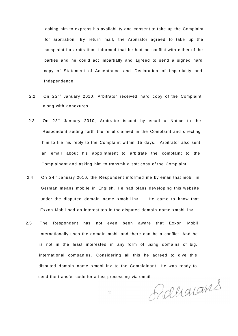asking him to express his availability and consent to take up the Complaint for arbitration. By return mail, the Arbitrator agreed to take up the complaint for arbitration; informed that he had no conflict with either of the parties and he could act impartially and agreed to send a signed hard copy of Statement of Acceptance and Declaration of Impartiality and Independence.

- 2.2 On 22<sup>°</sup> January 2010, Arbitrator received hard copy of the Complaint along with annexures.
- 2.3 On 23<sup>rd</sup> January 2010, Arbitrator issued by email a Notice to the Respondent setting forth the relief claimed in the Complaint and directing him to file his reply to the Complaint within 15 days. Arbitrator also sent an email about his appointment to arbitrate the complaint to the Complainant and asking him to transmit a soft copy of the Complaint.
- 2.4 On 24<sup>th</sup> January 2010, the Respondent informed me by email that mobil in German means mobile in English. He had plans developing this website under the disputed domain name <mobil.in>. He came to know that Exxon Mobil had an interest too in the disputed domain name <mobil.in>.
- 2.5 The Respondent has not even been aware that Exxon Mobil internationally uses the domain mobil and there can be a conflict. And he is not in the least interested in any form of using domains of big, international companies. Considering all this he agreed to give this disputed domain name <mobil.in> to the Complainant. He was ready to

send the transfer code for a fast processing via email.<br>2 AMP M Q LAMP

 $\overline{2}$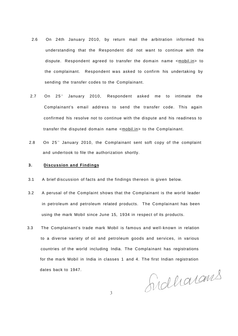- 2.6 On 24th January 2010, by return mail the arbitration informed his understanding that the Respondent did not want to continue with the dispute. Respondent agreed to transfer the domain name <mobil.in> to the complainant. Respondent was asked to confirm his undertaking by sending the transfer codes to the Complainant.
- 2.7 On 25<sup>th</sup> January 2010, Respondent asked me to intimate the Complainant's email address to send the transfer code. This again confirmed his resolve not to continue with the dispute and his readiness to transfer the disputed domain name <mobil.in> to the Complainant.
- 2.8 On 25<sup>th</sup> January 2010, the Complainant sent soft copy of the complaint and undertook to file the authorization shortly.

# **3. Discussion and Findings**

- 3.1 A brief discussion of facts and the findings thereon is given below.
- 3.2 A perusal of the Complaint shows that the Complainant is the world leader in petroleum and petroleum related products. The Complainant has been using the mark Mobil since June 15, 1934 in respect of its products.
- 3.3 The Complainant's trade mark Mobil is famous and well-known in relation to a diverse variety of oil and petroleum goods and services, in various countries of the world including India. The Complainant has registrations for the mark Mobil in India in classes 1 and 4. The first Indian registration dates back to 1947.

Sidharans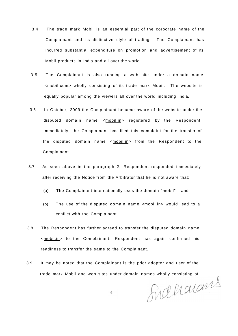- 3 4 The trade mark Mobil is an essential part of the corporate name of the Complainant and its distinctive style of trading. The Complainant has incurred substantial expenditure on promotion and advertisement of its Mobil products in India and all over the world.
- 3 5 The Complainant is also running a web site under a domain name <mobil.com> wholly consisting of its trade mark Mobil. The website is equally popular among the viewers all over the world including India.
- 3.6 In October, 2009 the Complainant became aware of the website under the disputed domain name <mobil.in> registered by the Respondent. Immediately, the Complainant has filed this complaint for the transfer of the disputed domain name <mobil.in> from the Respondent to the Complainant.
- 3.7 As seen above in the paragraph 2, Respondent responded immediately after receiving the Notice from the Arbitrator that he is not aware that:
	- (a) The Complainant internationally uses the domain "mobil" ; and
	- (b) The use of the disputed domain name <mobil.in> would lead to a conflict with the Complainant.
- 3.8 The Respondent has further agreed to transfer the disputed domain name <mobil.in> to the Complainant. Respondent has again confirmed his readiness to transfer the same to the Complainant.
- 3.9 It may be noted that the Complainant is the prior adopter and user of the

trade mark Mobil and web sites under domain names wholly consisting of<br>4

 $\overline{4}$